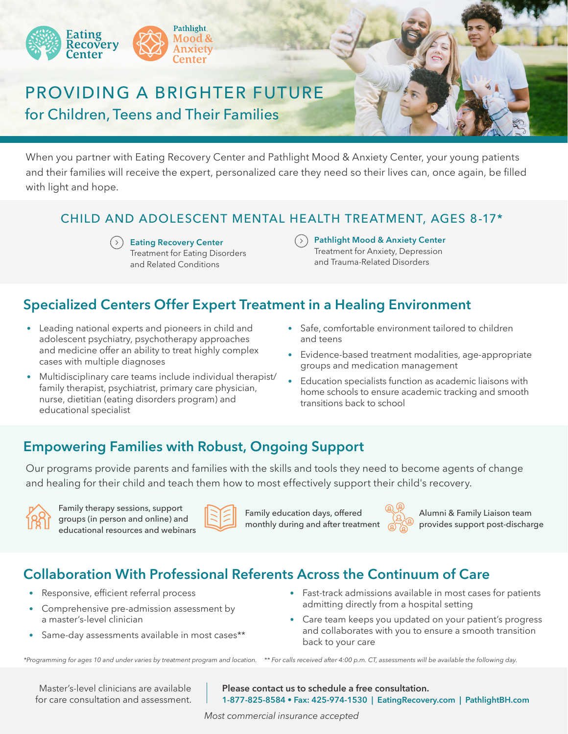

# PROVIDING A BRIGHTER FUTURE for Children, Teens and Their Families

When you partner with Eating Recovery Center and Pathlight Mood & Anxiety Center, your young patients and their families will receive the expert, personalized care they need so their lives can, once again, be filled with light and hope.

## CHILD AND ADOLESCENT MENTAL HEALTH TREATMENT, AGES 8-17\*

**Eating Recovery Center** Treatment for Eating Disorders and Related Conditions

**Pathlight Mood & Anxiety Center** Treatment for Anxiety, Depression and Trauma-Related Disorders

## **Specialized Centers Offer Expert Treatment in a Healing Environment**

- Leading national experts and pioneers in child and adolescent psychiatry, psychotherapy approaches and medicine offer an ability to treat highly complex cases with multiple diagnoses
- Multidisciplinary care teams include individual therapist/ family therapist, psychiatrist, primary care physician, nurse, dietitian (eating disorders program) and educational specialist
- Safe, comfortable environment tailored to children and teens
- Evidence-based treatment modalities, age-appropriate groups and medication management
- Education specialists function as academic liaisons with home schools to ensure academic tracking and smooth transitions back to school

## **Empowering Families with Robust, Ongoing Support**

Our programs provide parents and families with the skills and tools they need to become agents of change and healing for their child and teach them how to most effectively support their child's recovery.



Family therapy sessions, support groups (in person and online) and educational resources and webinars



Family education days, offered monthly during and after treatment



Alumni & Family Liaison team provides support post-discharge

## **Collaboration With Professional Referents Across the Continuum of Care**

- Responsive, efficient referral process
- Comprehensive pre-admission assessment by a master's-level clinician
- Same-day assessments available in most cases\*\*
- Fast-track admissions available in most cases for patients admitting directly from a hospital setting
- Care team keeps you updated on your patient's progress and collaborates with you to ensure a smooth transition back to your care

*\*\* For calls received after 4:00 p.m. CT, assessments will be available the following day. \*Programming for ages 10 and under varies by treatment program and location.*

Master's-level clinicians are available for care consultation and assessment. **Please contact us to schedule a free consultation. 1-877-825-8584 • Fax: 425-974-1530 | EatingRecovery.com | PathlightBH.com**

*Most commercial insurance accepted*